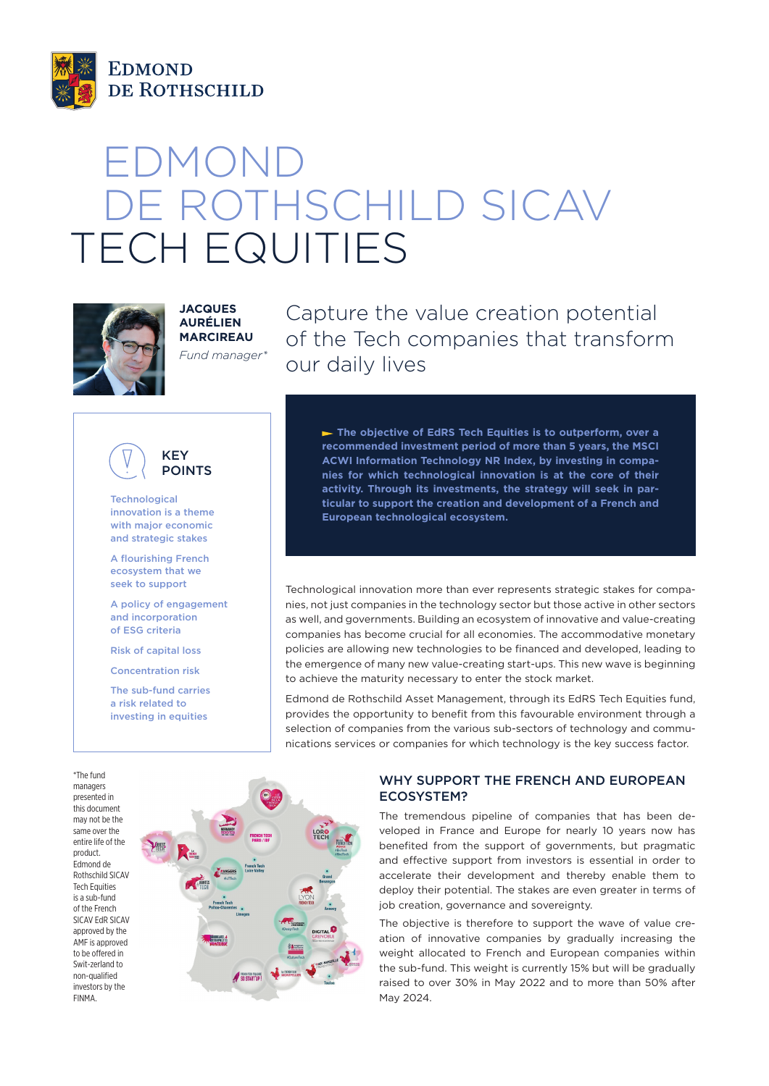

# EDMOND DE ROTHSCHILD SICAV TECH EQUITIES



**JACQUES AURÉLIEN MARCIREAU** *Fund manager\** Capture the value creation potential of the Tech companies that transform our daily lives



**Technological** innovation is a theme with major economic and strategic stakes

A flourishing French ecosystem that we seek to support

A policy of engagement and incorporation of ESG criteria

Risk of capital loss

Concentration risk

The sub-fund carries a risk related to investing in equities

 **The objective of EdRS Tech Equities is to outperform, over a recommended investment period of more than 5 years, the MSCI ACWI Information Technology NR Index, by investing in companies for which technological innovation is at the core of their activity. Through its investments, the strategy will seek in particular to support the creation and development of a French and European technological ecosystem.**

Technological innovation more than ever represents strategic stakes for companies, not just companies in the technology sector but those active in other sectors as well, and governments. Building an ecosystem of innovative and value-creating companies has become crucial for all economies. The accommodative monetary policies are allowing new technologies to be financed and developed, leading to the emergence of many new value-creating start-ups. This new wave is beginning to achieve the maturity necessary to enter the stock market.

Edmond de Rothschild Asset Management, through its EdRS Tech Equities fund, provides the opportunity to benefit from this favourable environment through a selection of companies from the various sub-sectors of technology and communications services or companies for which technology is the key success factor.

\*The fund managers presented in this document may not be the same over the entire life of the product. Edmond de Rothschild SICAV Tech Equities is a sub-fund of the French SICAV EdR SICAV approved by the AMF is annroved to be offered in Swit-zerland to non-qualified investors by the FINMA.



## WHY SUPPORT THE FRENCH AND EUROPEAN ECOSYSTEM?

The tremendous pipeline of companies that has been developed in France and Europe for nearly 10 years now has benefited from the support of governments, but pragmatic and effective support from investors is essential in order to accelerate their development and thereby enable them to deploy their potential. The stakes are even greater in terms of job creation, governance and sovereignty.

The objective is therefore to support the wave of value creation of innovative companies by gradually increasing the weight allocated to French and European companies within the sub-fund. This weight is currently 15% but will be gradually raised to over 30% in May 2022 and to more than 50% after May 2024.